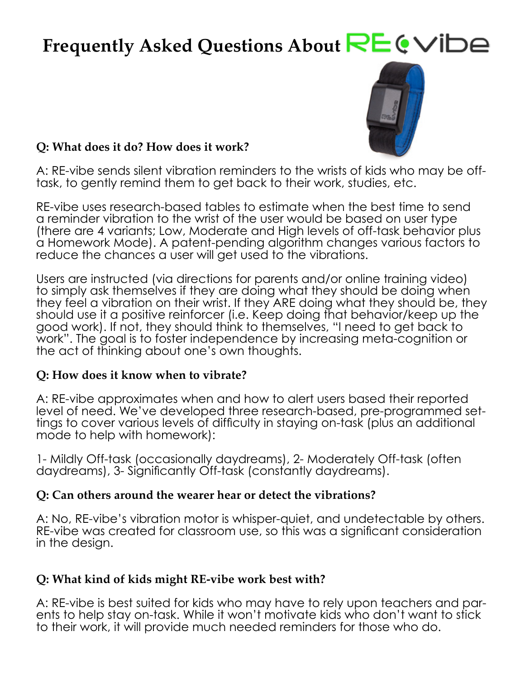# Frequently Asked Questions About **RE CVIDE**



#### **Q: What does it do? How does it work?**

A: RE-vibe sends silent vibration reminders to the wrists of kids who may be offtask, to gently remind them to get back to their work, studies, etc.

RE-vibe uses research-based tables to estimate when the best time to send a reminder vibration to the wrist of the user would be based on user type (there are 4 variants; Low, Moderate and High levels of off-task behavior plus a Homework Mode). A patent-pending algorithm changes various factors to reduce the chances a user will get used to the vibrations.

Users are instructed (via directions for parents and/or online training video) to simply ask themselves if they are doing what they should be doing when they feel a vibration on their wrist. If they ARE doing what they should be, they should use it a positive reinforcer (i.e. Keep doing that behavior/keep up the good work). If not, they should think to themselves, "I need to get back to work". The goal is to foster independence by increasing meta-cognition or the act of thinking about one's own thoughts.

#### **Q: How does it know when to vibrate?**

A: RE-vibe approximates when and how to alert users based their reported level of need. We've developed three research-based, pre-programmed settings to cover various levels of difficulty in staying on-task (plus an additional mode to help with homework):

1- Mildly Off-task (occasionally daydreams), 2- Moderately Off-task (often daydreams), 3- Significantly Off-task (constantly daydreams).

#### **Q: Can others around the wearer hear or detect the vibrations?**

A: No, RE-vibe's vibration motor is whisper-quiet, and undetectable by others. RE-vibe was created for classroom use, so this was a significant consideration in the design.

#### **Q: What kind of kids might RE-vibe work best with?**

A: RE-vibe is best suited for kids who may have to rely upon teachers and parents to help stay on-task. While it won't motivate kids who don't want to stick to their work, it will provide much needed reminders for those who do.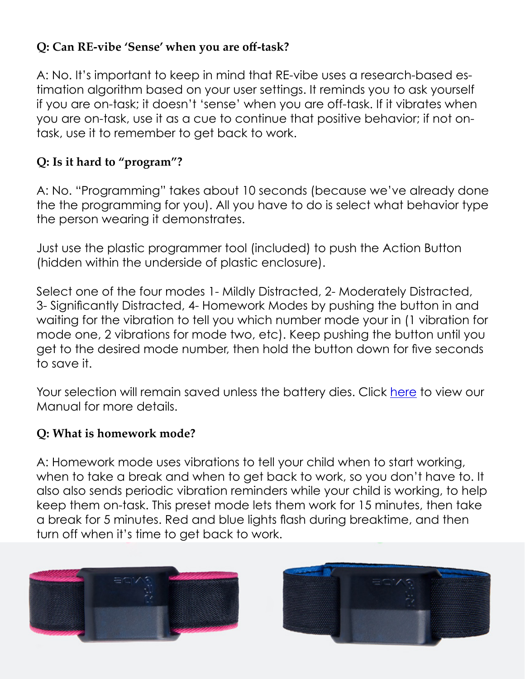# **Q: Can RE-vibe 'Sense' when you are off-task?**

A: No. It's important to keep in mind that RE-vibe uses a research-based estimation algorithm based on your user settings. It reminds you to ask yourself if you are on-task; it doesn't 'sense' when you are off-task. If it vibrates when you are on-task, use it as a cue to continue that positive behavior; if not ontask, use it to remember to get back to work.

# **Q: Is it hard to "program"?**

A: No. "Programming" takes about 10 seconds (because we've already done the the programming for you). All you have to do is select what behavior type the person wearing it demonstrates.

Just use the plastic programmer tool (included) to push the Action Button (hidden within the underside of plastic enclosure).

Select one of the four modes 1- Mildly Distracted, 2- Moderately Distracted, 3- Significantly Distracted, 4- Homework Modes by pushing the button in and waiting for the vibration to tell you which number mode your in (1 vibration for mode one, 2 vibrations for mode two, etc). Keep pushing the button until you get to the desired mode number, then hold the button down for five seconds to save it.

Your selection will remain saved unless the battery dies. Click [here](https://cdn.shopify.com/s/files/1/0636/7619/files/user-manual-revibe-web.pdf?72266614140036985) to view our Manual for more details.

# **Q: What is homework mode?**

A: Homework mode uses vibrations to tell your child when to start working, when to take a break and when to get back to work, so you don't have to. It also also sends periodic vibration reminders while your child is working, to help keep them on-task. This preset mode lets them work for 15 minutes, then take a break for 5 minutes. Red and blue lights flash during breaktime, and then turn off when it's time to get back to work.



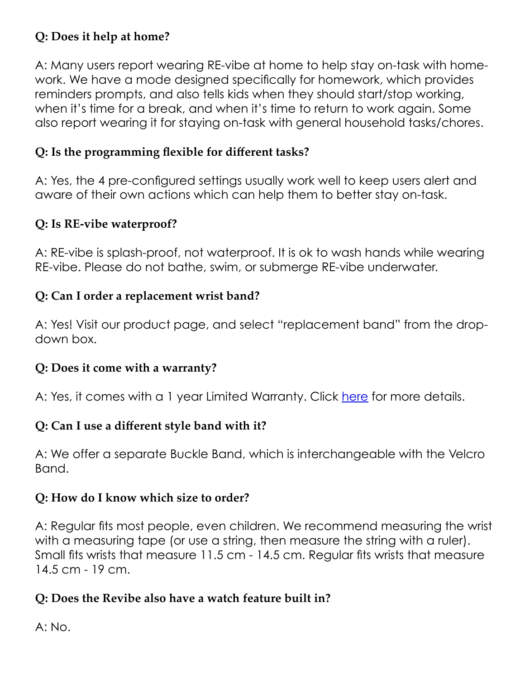## **Q: Does it help at home?**

A: Many users report wearing RE-vibe at home to help stay on-task with homework. We have a mode designed specifically for homework, which provides reminders prompts, and also tells kids when they should start/stop working, when it's time for a break, and when it's time to return to work again. Some also report wearing it for staying on-task with general household tasks/chores.

## **Q: Is the programming flexible for different tasks?**

A: Yes, the 4 pre-configured settings usually work well to keep users alert and aware of their own actions which can help them to better stay on-task.

## **Q: Is RE-vibe waterproof?**

A: RE-vibe is splash-proof, not waterproof. It is ok to wash hands while wearing RE-vibe. Please do not bathe, swim, or submerge RE-vibe underwater.

# **Q: Can I order a replacement wrist band?**

A: Yes! Visit our product page, and select "replacement band" from the dropdown box.

#### **Q: Does it come with a warranty?**

A: Yes, it comes with a 1 year Limited Warranty. Click [here](https://cdn.shopify.com/s/files/1/0636/7619/files/revibe_warranty.pdf) for more details.

#### **Q: Can I use a different style band with it?**

A: We offer a separate Buckle Band, which is interchangeable with the Velcro Band.

#### **Q: How do I know which size to order?**

A: Regular fits most people, even children. We recommend measuring the wrist with a measuring tape (or use a string, then measure the string with a ruler). Small fits wrists that measure 11.5 cm - 14.5 cm. Regular fits wrists that measure 14.5 cm - 19 cm.

# **Q: Does the Revibe also have a watch feature built in?**

A: No.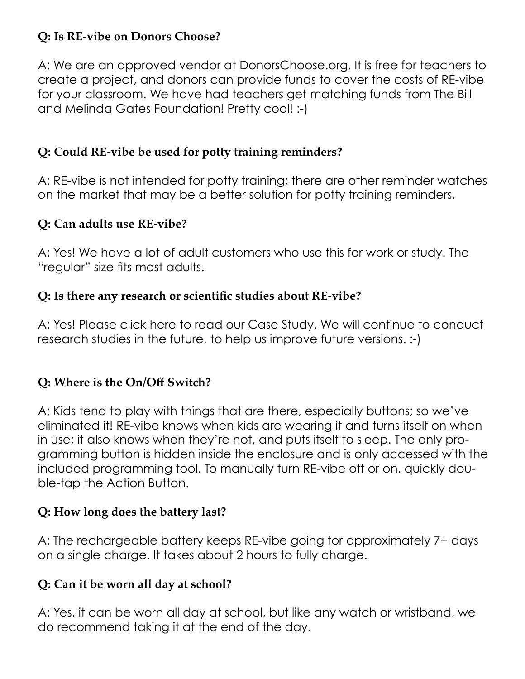# **Q: Is RE-vibe on Donors Choose?**

A: We are an approved vendor at DonorsChoose.org. It is free for teachers to create a project, and donors can provide funds to cover the costs of RE-vibe for your classroom. We have had teachers get matching funds from The Bill and Melinda Gates Foundation! Pretty cool! :-)

### **Q: Could RE-vibe be used for potty training reminders?**

A: RE-vibe is not intended for potty training; there are other reminder watches on the market that may be a better solution for potty training reminders.

#### **Q: Can adults use RE-vibe?**

A: Yes! We have a lot of adult customers who use this for work or study. The "regular" size fits most adults.

#### **Q: Is there any research or scientific studies about RE-vibe?**

A: Yes! Please click here to read our Case Study. We will continue to conduct research studies in the future, to help us improve future versions. :-)

#### **Q: Where is the On/Off Switch?**

A: Kids tend to play with things that are there, especially buttons; so we've eliminated it! RE-vibe knows when kids are wearing it and turns itself on when in use; it also knows when they're not, and puts itself to sleep. The only programming button is hidden inside the enclosure and is only accessed with the included programming tool. To manually turn RE-vibe off or on, quickly double-tap the Action Button.

#### **Q: How long does the battery last?**

A: The rechargeable battery keeps RE-vibe going for approximately 7+ days on a single charge. It takes about 2 hours to fully charge.

#### **Q: Can it be worn all day at school?**

A: Yes, it can be worn all day at school, but like any watch or wristband, we do recommend taking it at the end of the day.